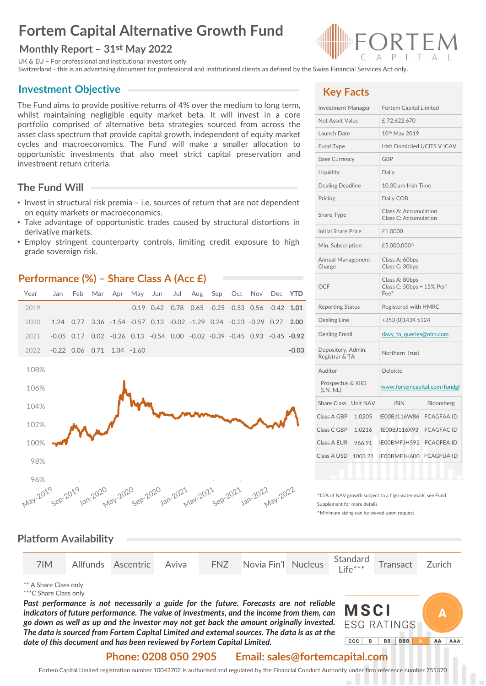# **Fortem Capital Alternative Growth Fund**

### **Monthly Report – 31st May 2022**

UK & EU – For professional and institutional investors only

Switzerland - this is an advertising document for professional and institutional clients as defined by the Swiss Financial Services Act only.

# **Investment Objective**

The Fund aims to provide positive returns of 4% over the medium to long term, whilst maintaining negligible equity market beta. It will invest in a core portfolio comprised of alternative beta strategies sourced from across the asset class spectrum that provide capital growth, independent of equity market cycles and macroeconomics. The Fund will make a smaller allocation to opportunistic investments that also meet strict capital preservation and investment return criteria.

# **The Fund Will**

- Invest in structural risk premia i.e. sources of return that are not dependent on equity markets or macroeconomics.
- Take advantage of opportunistic trades caused by structural distortions in derivative markets.
- Employ stringent counterparty controls, limiting credit exposure to high grade sovereign risk.

# **Performance (%) – Share Class A (Acc £)**

| Year            | Jan          | Feb | Mar      |                                | Apr May                                                           | Jun          | Jul  | Aug                                 | Sep | Oct Nov |                                  | Dec YTD |
|-----------------|--------------|-----|----------|--------------------------------|-------------------------------------------------------------------|--------------|------|-------------------------------------|-----|---------|----------------------------------|---------|
| 2019            |              |     |          |                                |                                                                   | $-0.19$ 0.42 | 0.78 |                                     |     |         | 0.65 -0.25 -0.53 0.56 -0.42 1.01 |         |
| 2020            | 1.24         |     |          |                                | 0.77 3.36 -1.54 -0.57 0.13 -0.02 -1.29 0.24 -0.23 -0.29 0.27 2.00 |              |      |                                     |     |         |                                  |         |
| 2021            | $-0.05$ 0.17 |     |          |                                | 0.02 -0.26 0.13 -0.54 0.00 -0.02 -0.39 -0.45 0.93 -0.45 -0.92     |              |      |                                     |     |         |                                  |         |
| 2022            |              |     |          | $-0.22$ 0.06 0.71 1.04 $-1.60$ |                                                                   |              |      |                                     |     |         |                                  | $-0.03$ |
| 108%            |              |     |          |                                |                                                                   |              |      |                                     |     |         |                                  |         |
| 106%            |              |     |          |                                |                                                                   |              |      |                                     |     |         |                                  |         |
| 104%            |              |     |          |                                |                                                                   |              |      |                                     |     |         |                                  |         |
| 102%            |              |     |          |                                |                                                                   |              |      |                                     |     |         |                                  |         |
| 100%            |              |     |          |                                |                                                                   |              |      |                                     |     |         |                                  |         |
| 98%             |              |     |          |                                |                                                                   |              |      |                                     |     |         |                                  |         |
| 96%<br>May-2019 | Sep-2019     |     | Jan-2020 |                                | May-2020 Sep-2020                                                 |              |      | Jan-2021 May-2021 Jan-2022 May-2022 |     |         |                                  |         |



# **Key Facts**

| <b>Investment Manager</b>            | Fortem Capital Limited                                            |  |  |  |  |  |
|--------------------------------------|-------------------------------------------------------------------|--|--|--|--|--|
| Net Asset Value                      | £72,622,670                                                       |  |  |  |  |  |
| Launch Date                          | 10 <sup>th</sup> May 2019                                         |  |  |  |  |  |
| Fund Type                            | Irish Domiciled UCITS V ICAV                                      |  |  |  |  |  |
| <b>Base Currency</b>                 | GBP                                                               |  |  |  |  |  |
| Liquidity                            | Daily                                                             |  |  |  |  |  |
| <b>Dealing Deadline</b>              | 10:30 am Irish Time                                               |  |  |  |  |  |
| Pricing                              | Daily COB                                                         |  |  |  |  |  |
| Share Type                           | Class A: Accumulation<br>Class C: Accumulation                    |  |  |  |  |  |
| <b>Initial Share Price</b>           | £1.0000                                                           |  |  |  |  |  |
| Min. Subscription                    | £5,000,000^                                                       |  |  |  |  |  |
| Annual Management<br>Charge          | Class A: 60bps<br>Class C: 30bps                                  |  |  |  |  |  |
| <b>OCF</b>                           | Class A: 80bps<br>Class C: 50bps + 15% Perf<br>$Fee$ <sup>*</sup> |  |  |  |  |  |
| <b>Reporting Status</b>              | Registered with HMRC                                              |  |  |  |  |  |
| Dealing Line                         | +353 (0)1434 5124                                                 |  |  |  |  |  |
| <b>Dealing Email</b>                 | davy_ta_queries@ntrs.com                                          |  |  |  |  |  |
| Depository, Admin,<br>Registrar & TA | Northern Trust                                                    |  |  |  |  |  |
| Auditor                              | Deloitte                                                          |  |  |  |  |  |
| Prospectus & KIID<br>(EN, NL)        | www.fortemcapital.com/fundgf                                      |  |  |  |  |  |
| <b>Share Class</b><br>Unit NAV       | <b>ISIN</b><br>Bloomberg                                          |  |  |  |  |  |
| Class A GBP<br>1.0205                | IE00BJ116W86<br><b>FCAGFAA ID</b>                                 |  |  |  |  |  |
| Class C GBP<br>1.0216                | IE00BJ116X93<br><b>FCAGFAC ID</b>                                 |  |  |  |  |  |
| Class A EUR<br>966.91                | IE00BMFJH592<br><b>FCAGFEA ID</b>                                 |  |  |  |  |  |
| Class A USD<br>1003.21               | <b>FCAGFUA ID</b><br>IE00BMFJH600                                 |  |  |  |  |  |
|                                      |                                                                   |  |  |  |  |  |

\*15% of NAV growth subject to a high water mark, see Fund Supplement for more details

^Minimum sizing can be waved upon request

#### **Platform Availability**

\*\* A Share Class only

\*\*\*C Share Class only

*Past performance is not necessarily a guide for the future. Forecasts are not reliable indicators of future performance. The value of investments, and the income from them, can go down as well as up and the investor may not get back the amount originally invested. The data is sourced from Fortem Capital Limited and external sources. The data is as at the date of this document and has been reviewed by Fortem Capital Limited.*



# **Phone: 0208 050 2905 Email: sales@fortemcapital.com**

Fortem Capital Limited registration number 10042702 is authorised and regulated by the Financial Conduct Authority under firm reference number 755370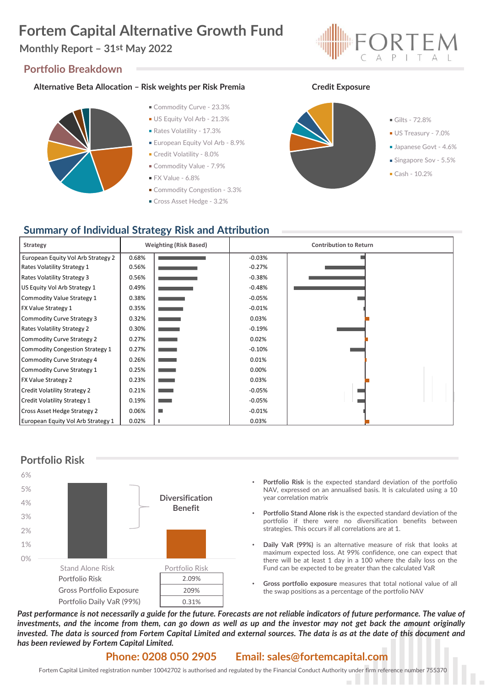# **Fortem Capital Alternative Growth Fund**

# **Monthly Report – 31st May 2022**

## **Portfolio Breakdown**

#### **Alternative Beta Allocation – Risk weights per Risk Premia Credit Exposure**



- Commodity Curve 23.3%
- US Equity Vol Arb 21.3%
- Rates Volatility 17.3%
- **European Equity Vol Arb 8.9%**
- Credit Volatility 8.0%
- Commodity Value 7.9%
- $\blacksquare$  FX Value 6.8%
- Commodity Congestion 3.3%
- Cross Asset Hedge 3.2%





## **Summary of Individual Strategy Risk and Attribution**

| Strategy                           |       | <b>Weighting (Risk Based)</b> | <b>Contribution to Return</b> |  |  |  |  |
|------------------------------------|-------|-------------------------------|-------------------------------|--|--|--|--|
| European Equity Vol Arb Strategy 2 | 0.68% |                               | $-0.03%$                      |  |  |  |  |
| Rates Volatility Strategy 1        | 0.56% |                               | $-0.27%$                      |  |  |  |  |
| Rates Volatility Strategy 3        | 0.56% |                               | $-0.38%$                      |  |  |  |  |
| US Equity Vol Arb Strategy 1       | 0.49% |                               | $-0.48%$                      |  |  |  |  |
| Commodity Value Strategy 1         | 0.38% | <b>STATISTICS</b>             | $-0.05%$                      |  |  |  |  |
| <b>FX Value Strategy 1</b>         | 0.35% | <b>Service State</b>          | $-0.01%$                      |  |  |  |  |
| Commodity Curve Strategy 3         | 0.32% | <b>State State</b>            | 0.03%                         |  |  |  |  |
| <b>Rates Volatility Strategy 2</b> | 0.30% | and the state                 | $-0.19%$                      |  |  |  |  |
| Commodity Curve Strategy 2         | 0.27% |                               | 0.02%                         |  |  |  |  |
| Commodity Congestion Strategy 1    | 0.27% |                               | $-0.10%$                      |  |  |  |  |
| Commodity Curve Strategy 4         | 0.26% |                               | 0.01%                         |  |  |  |  |
| Commodity Curve Strategy 1         | 0.25% |                               | 0.00%                         |  |  |  |  |
| <b>FX Value Strategy 2</b>         | 0.23% |                               | 0.03%                         |  |  |  |  |
| Credit Volatility Strategy 2       | 0.21% |                               | $-0.05%$                      |  |  |  |  |
| Credit Volatility Strategy 1       | 0.19% |                               | $-0.05%$                      |  |  |  |  |
| Cross Asset Hedge Strategy 2       | 0.06% | ▬                             | $-0.01%$                      |  |  |  |  |
| European Equity Vol Arb Strategy 1 | 0.02% |                               | 0.03%                         |  |  |  |  |



- **Portfolio Risk** is the expected standard deviation of the portfolio NAV, expressed on an annualised basis. It is calculated using a 10 year correlation matrix
- **Portfolio Stand Alone risk** is the expected standard deviation of the portfolio if there were no diversification benefits between strategies. This occurs if all correlations are at 1.
- **Daily VaR (99%)** is an alternative measure of risk that looks at maximum expected loss. At 99% confidence, one can expect that there will be at least 1 day in a 100 where the daily loss on the Fund can be expected to be greater than the calculated VaR
- **Gross portfolio exposure** measures that total notional value of all the swap positions as a percentage of the portfolio NAV

Past performance is not necessarily a guide for the future. Forecasts are not reliable indicators of future performance. The value of investments, and the income from them, can go down as well as up and the investor may not get back the amount originally invested. The data is sourced from Fortem Capital Limited and external sources. The data is as at the date of this document and *has been reviewed by Fortem Capital Limited.*

#### **Phone: 0208 050 2905 Email: sales@fortemcapital.com**

Fortem Capital Limited registration number 10042702 is authorised and regulated by the Financial Conduct Authority under firm reference number 755370